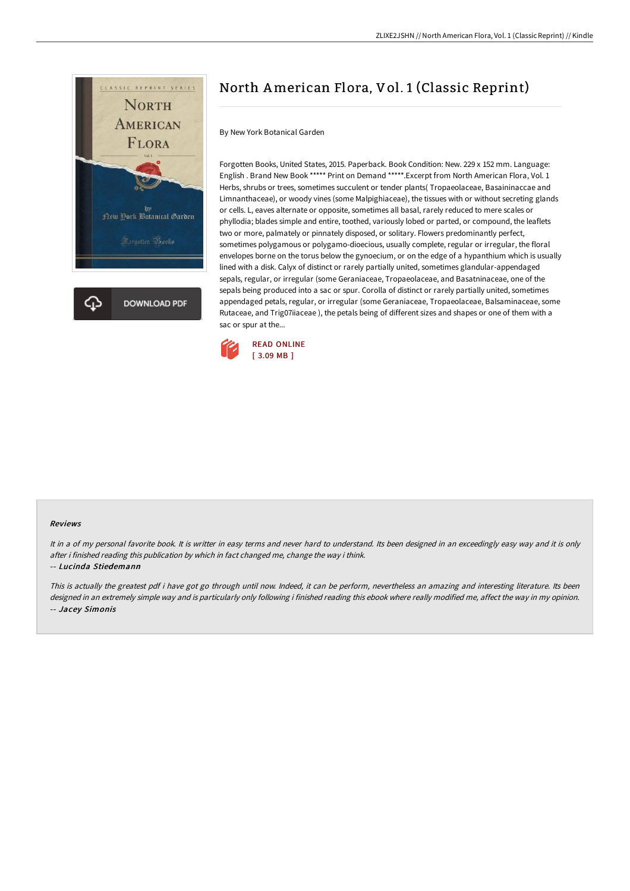

# North American Flora, Vol. 1 (Classic Reprint)

By New York Botanical Garden

Forgotten Books, United States, 2015. Paperback. Book Condition: New. 229 x 152 mm. Language: English . Brand New Book \*\*\*\*\* Print on Demand \*\*\*\*\*.Excerpt from North American Flora, Vol. 1 Herbs, shrubs or trees, sometimes succulent or tender plants( Tropaeolaceae, Basaininaccae and Limnanthaceae), or woody vines (some Malpighiaceae), the tissues with or without secreting glands or cells. L, eaves alternate or opposite, sometimes all basal, rarely reduced to mere scales or phyllodia; blades simple and entire, toothed, variously lobed or parted, or compound, the leaflets two or more, palmately or pinnately disposed, or solitary. Flowers predominantly perfect, sometimes polygamous or polygamo-dioecious, usually complete, regular or irregular, the floral envelopes borne on the torus below the gynoecium, or on the edge of a hypanthium which is usually lined with a disk. Calyx of distinct or rarely partially united, sometimes glandular-appendaged sepals, regular, or irregular (some Geraniaceae, Tropaeolaceae, and Basatninaceae, one of the sepals being produced into a sac or spur. Corolla of distinct or rarely partially united, sometimes appendaged petals, regular, or irregular (some Geraniaceae, Tropaeolaceae, Balsaminaceae, some Rutaceae, and Trig07iiaceae ), the petals being of different sizes and shapes or one of them with a sac or spur at the...



#### Reviews

It in a of my personal favorite book. It is writter in easy terms and never hard to understand. Its been designed in an exceedingly easy way and it is only after i finished reading this publication by which in fact changed me, change the way i think.

#### -- Lucinda Stiedemann

This is actually the greatest pdf i have got go through until now. Indeed, it can be perform, nevertheless an amazing and interesting literature. Its been designed in an extremely simple way and is particularly only following i finished reading this ebook where really modified me, affect the way in my opinion. -- Jacey Simonis